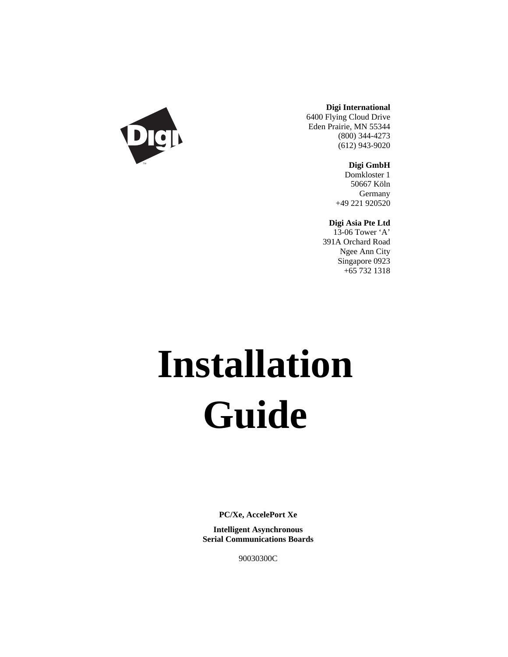

**Digi International**

6400 Flying Cloud Drive Eden Prairie, MN 55344 (800) 344-4273 (612) 943-9020

**Digi GmbH**

Domkloster 1 50667 Köln Germany +49 221 920520

**Digi Asia Pte Ltd**

13-06 Tower 'A' 391A Orchard Road Ngee Ann City Singapore 0923 +65 732 1318

# **Installation Guide**

**PC/Xe, AccelePort Xe**

**Intelligent Asynchronous Serial Communications Boards**

90030300C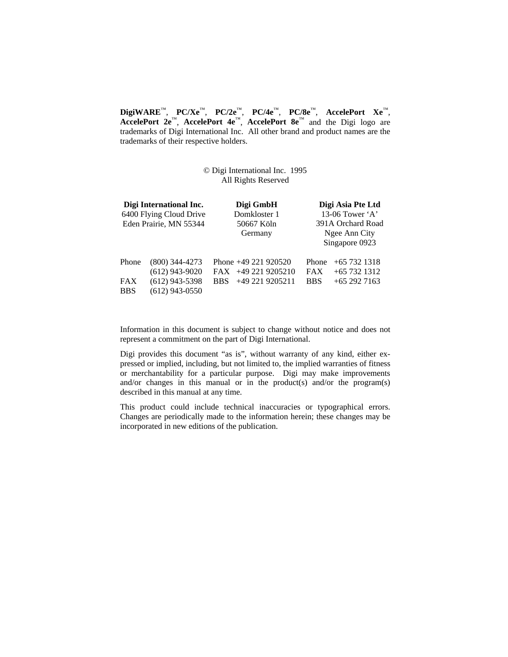**DigiWARE**™, **PC/Xe**™, **PC/2e**™, **PC/4e**™, **PC/8e**™, **AccelePort Xe**™, **AccelePort 2e**™, **AccelePort 4e**™, **AccelePort 8e**™ and the Digi logo are trademarks of Digi International Inc. All other brand and product names are the trademarks of their respective holders.

#### © Digi International Inc. 1995 All Rights Reserved

| Digi International Inc.<br>6400 Flying Cloud Drive<br>Eden Prairie, MN 55344 |                                                                              | Digi GmbH<br>Domkloster 1<br>50667 Köln<br>Germany |                                                                | Digi Asia Pte Ltd<br>13-06 Tower $\mathbf{A}$<br>391A Orchard Road<br>Ngee Ann City<br>Singapore 0923 |                                              |
|------------------------------------------------------------------------------|------------------------------------------------------------------------------|----------------------------------------------------|----------------------------------------------------------------|-------------------------------------------------------------------------------------------------------|----------------------------------------------|
| Phone<br><b>FAX</b><br><b>BBS</b>                                            | $(800)$ 344-4273<br>$(612)$ 943-9020<br>$(612)$ 943-5398<br>$(612)$ 943-0550 | <b>BBS</b>                                         | Phone +49 221 920520<br>$FAX +492219205210$<br>+49 221 9205211 | Phone<br><b>FAX</b><br><b>BBS</b>                                                                     | $+657321318$<br>$+657321312$<br>$+652927163$ |

Information in this document is subject to change without notice and does not represent a commitment on the part of Digi International.

Digi provides this document "as is", without warranty of any kind, either expressed or implied, including, but not limited to, the implied warranties of fitness or merchantability for a particular purpose. Digi may make improvements and/or changes in this manual or in the product(s) and/or the program(s) described in this manual at any time.

This product could include technical inaccuracies or typographical errors. Changes are periodically made to the information herein; these changes may be incorporated in new editions of the publication.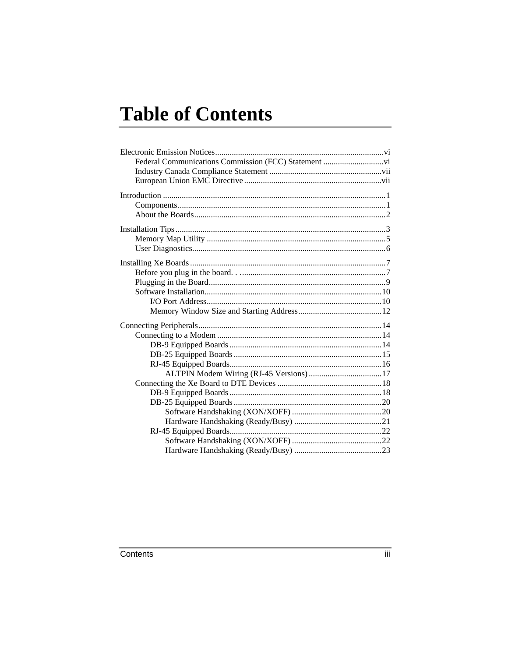## **Table of Contents**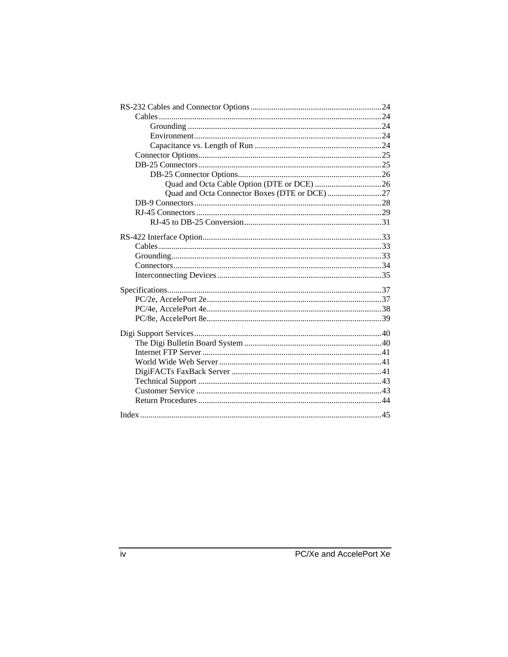| Quad and Octa Connector Boxes (DTE or DCE)27 |  |
|----------------------------------------------|--|
|                                              |  |
|                                              |  |
|                                              |  |
|                                              |  |
|                                              |  |
|                                              |  |
|                                              |  |
|                                              |  |
|                                              |  |
|                                              |  |
|                                              |  |
|                                              |  |
|                                              |  |
|                                              |  |
|                                              |  |
|                                              |  |
|                                              |  |
|                                              |  |
|                                              |  |
|                                              |  |
|                                              |  |
|                                              |  |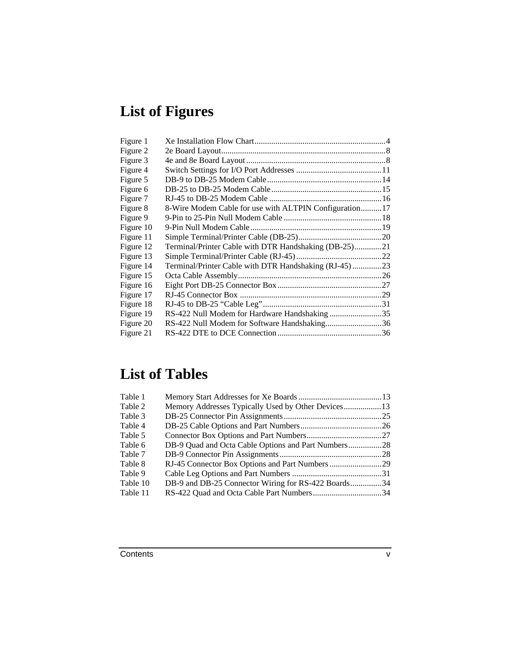## **List of Figures**

| Figure 1  |                                                         |  |
|-----------|---------------------------------------------------------|--|
| Figure 2  |                                                         |  |
| Figure 3  |                                                         |  |
| Figure 4  |                                                         |  |
| Figure 5  |                                                         |  |
| Figure 6  |                                                         |  |
| Figure 7  |                                                         |  |
| Figure 8  | 8-Wire Modem Cable for use with ALTPIN Configuration 17 |  |
| Figure 9  |                                                         |  |
| Figure 10 |                                                         |  |
| Figure 11 |                                                         |  |
| Figure 12 | Terminal/Printer Cable with DTR Handshaking (DB-25)21   |  |
| Figure 13 |                                                         |  |
| Figure 14 | Terminal/Printer Cable with DTR Handshaking (RJ-45)23   |  |
| Figure 15 |                                                         |  |
| Figure 16 |                                                         |  |
| Figure 17 |                                                         |  |
| Figure 18 |                                                         |  |
| Figure 19 | RS-422 Null Modem for Hardware Handshaking35            |  |
| Figure 20 | RS-422 Null Modem for Software Handshaking36            |  |
| Figure 21 |                                                         |  |

## **List of Tables**

| Table 1  |                                                     |  |
|----------|-----------------------------------------------------|--|
| Table 2  |                                                     |  |
| Table 3  |                                                     |  |
| Table 4  |                                                     |  |
| Table 5  |                                                     |  |
| Table 6  | DB-9 Quad and Octa Cable Options and Part Numbers28 |  |
| Table 7  |                                                     |  |
| Table 8  |                                                     |  |
| Table 9  |                                                     |  |
| Table 10 | DB-9 and DB-25 Connector Wiring for RS-422 Boards34 |  |
| Table 11 |                                                     |  |
|          |                                                     |  |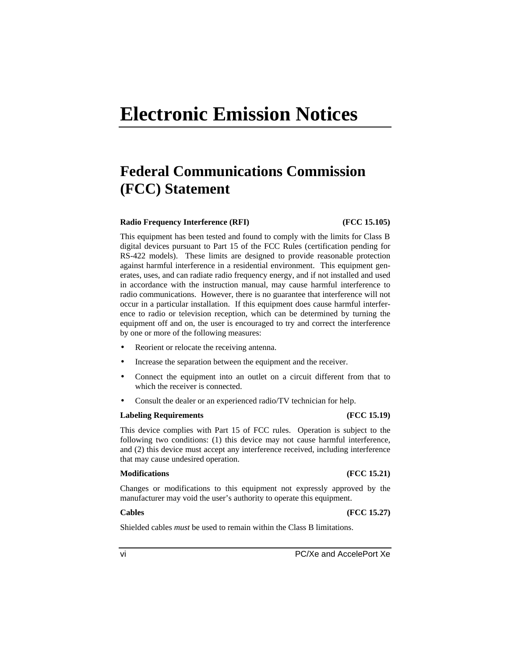## **Electronic Emission Notices**

## **Federal Communications Commission (FCC) Statement**

#### **Radio Frequency Interference (RFI) (FCC 15.105)**

This equipment has been tested and found to comply with the limits for Class B digital devices pursuant to Part 15 of the FCC Rules (certification pending for RS-422 models). These limits are designed to provide reasonable protection against harmful interference in a residential environment. This equipment generates, uses, and can radiate radio frequency energy, and if not installed and used in accordance with the instruction manual, may cause harmful interference to radio communications. However, there is no guarantee that interference will not occur in a particular installation. If this equipment does cause harmful interference to radio or television reception, which can be determined by turning the equipment off and on, the user is encouraged to try and correct the interference by one or more of the following measures:

- Reorient or relocate the receiving antenna.
- Increase the separation between the equipment and the receiver.
- Connect the equipment into an outlet on a circuit different from that to which the receiver is connected.
- Consult the dealer or an experienced radio/TV technician for help.

#### **Labeling Requirements (FCC 15.19)**

This device complies with Part 15 of FCC rules. Operation is subject to the following two conditions: (1) this device may not cause harmful interference, and (2) this device must accept any interference received, including interference that may cause undesired operation.

#### **Modifications (FCC 15.21)**

Changes or modifications to this equipment not expressly approved by the manufacturer may void the user's authority to operate this equipment.

#### **Cables (FCC 15.27)**

Shielded cables *must* be used to remain within the Class B limitations.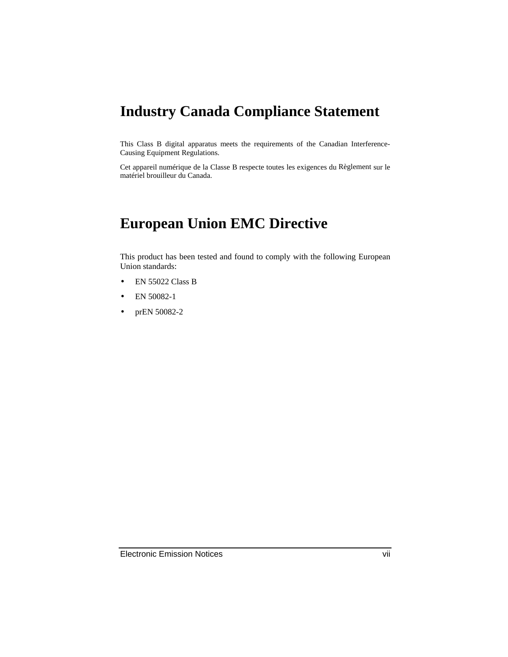## **Industry Canada Compliance Statement**

This Class B digital apparatus meets the requirements of the Canadian Interference-Causing Equipment Regulations.

Cet appareil numérique de la Classe B respecte toutes les exigences du Règlement sur le matériel brouilleur du Canada.

## **European Union EMC Directive**

This product has been tested and found to comply with the following European Union standards:

- EN 55022 Class B
- EN 50082-1
- prEN 50082-2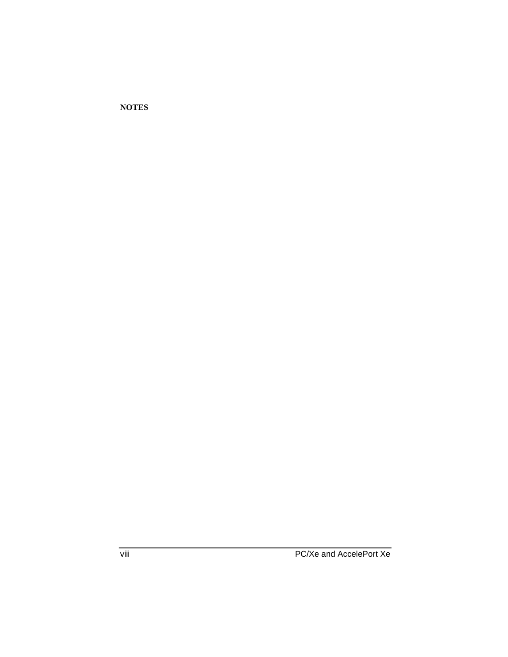**NOTES**

viii PC/Xe and AccelePort Xe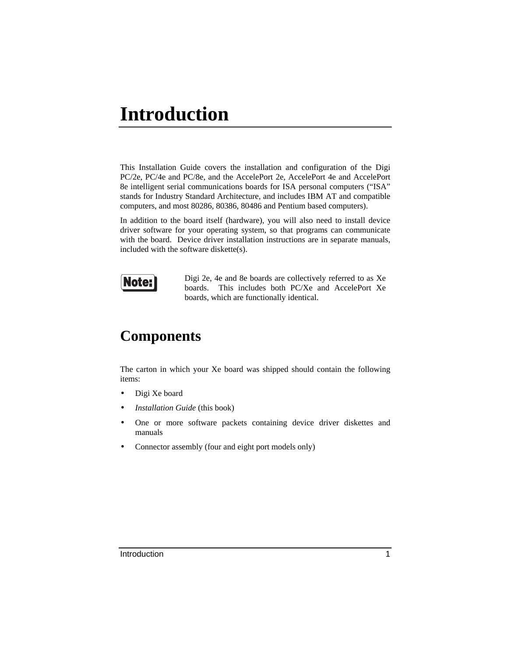## **Introduction**

This Installation Guide covers the installation and configuration of the Digi PC/2e, PC/4e and PC/8e, and the AccelePort 2e, AccelePort 4e and AccelePort 8e intelligent serial communications boards for ISA personal computers ("ISA" stands for Industry Standard Architecture, and includes IBM AT and compatible computers, and most 80286, 80386, 80486 and Pentium based computers).

In addition to the board itself (hardware), you will also need to install device driver software for your operating system, so that programs can communicate with the board. Device driver installation instructions are in separate manuals, included with the software diskette(s).



Digi 2e, 4e and 8e boards are collectively referred to as Xe boards. This includes both PC/Xe and AccelePort Xe boards, which are functionally identical.

## **Components**

The carton in which your Xe board was shipped should contain the following items:

- Digi Xe board
- *Installation Guide* (this book)
- One or more software packets containing device driver diskettes and manuals
- Connector assembly (four and eight port models only)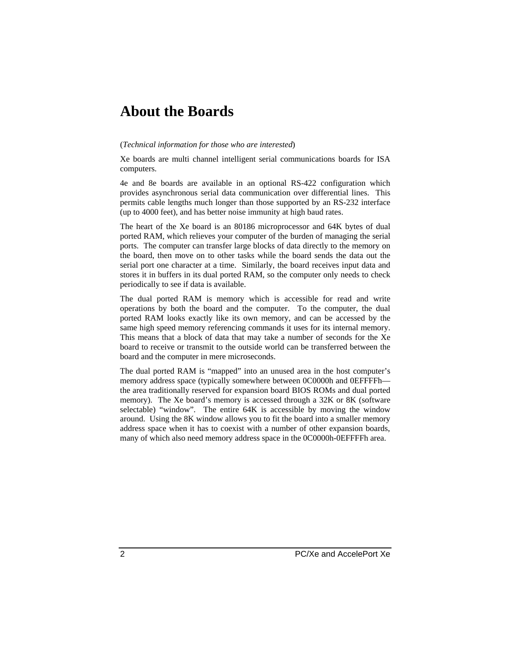## **About the Boards**

#### (*Technical information for those who are interested*)

Xe boards are multi channel intelligent serial communications boards for ISA computers.

4e and 8e boards are available in an optional RS-422 configuration which provides asynchronous serial data communication over differential lines. This permits cable lengths much longer than those supported by an RS-232 interface (up to 4000 feet), and has better noise immunity at high baud rates.

The heart of the Xe board is an 80186 microprocessor and 64K bytes of dual ported RAM, which relieves your computer of the burden of managing the serial ports. The computer can transfer large blocks of data directly to the memory on the board, then move on to other tasks while the board sends the data out the serial port one character at a time. Similarly, the board receives input data and stores it in buffers in its dual ported RAM, so the computer only needs to check periodically to see if data is available.

The dual ported RAM is memory which is accessible for read and write operations by both the board and the computer. To the computer, the dual ported RAM looks exactly like its own memory, and can be accessed by the same high speed memory referencing commands it uses for its internal memory. This means that a block of data that may take a number of seconds for the Xe board to receive or transmit to the outside world can be transferred between the board and the computer in mere microseconds.

The dual ported RAM is "mapped" into an unused area in the host computer's memory address space (typically somewhere between 0C0000h and 0EFFFFh the area traditionally reserved for expansion board BIOS ROMs and dual ported memory). The Xe board's memory is accessed through a 32K or 8K (software selectable) "window". The entire 64K is accessible by moving the window around. Using the 8K window allows you to fit the board into a smaller memory address space when it has to coexist with a number of other expansion boards, many of which also need memory address space in the 0C0000h-0EFFFFh area.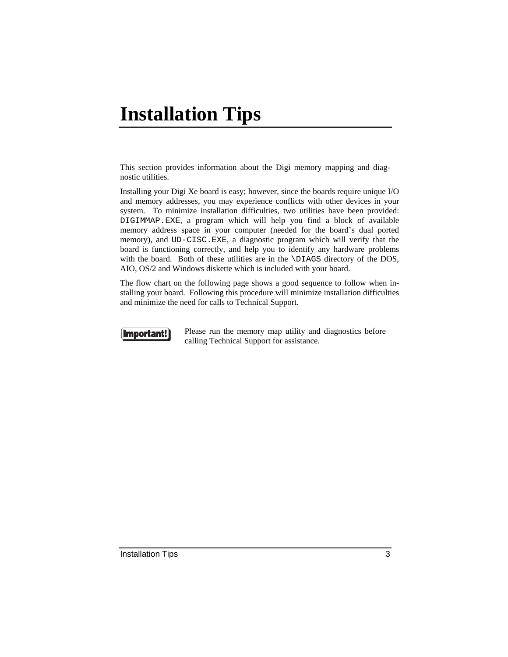## **Installation Tips**

This section provides information about the Digi memory mapping and diagnostic utilities.

Installing your Digi Xe board is easy; however, since the boards require unique I/O and memory addresses, you may experience conflicts with other devices in your system. To minimize installation difficulties, two utilities have been provided: DIGIMMAP.EXE, a program which will help you find a block of available memory address space in your computer (needed for the board's dual ported memory), and UD-CISC.EXE, a diagnostic program which will verify that the board is functioning correctly, and help you to identify any hardware problems with the board. Both of these utilities are in the \DIAGS directory of the DOS, AIO, OS/2 and Windows diskette which is included with your board.

The flow chart on the following page shows a good sequence to follow when installing your board. Following this procedure will minimize installation difficulties and minimize the need for calls to Technical Support.



Please run the memory map utility and diagnostics before calling Technical Support for assistance.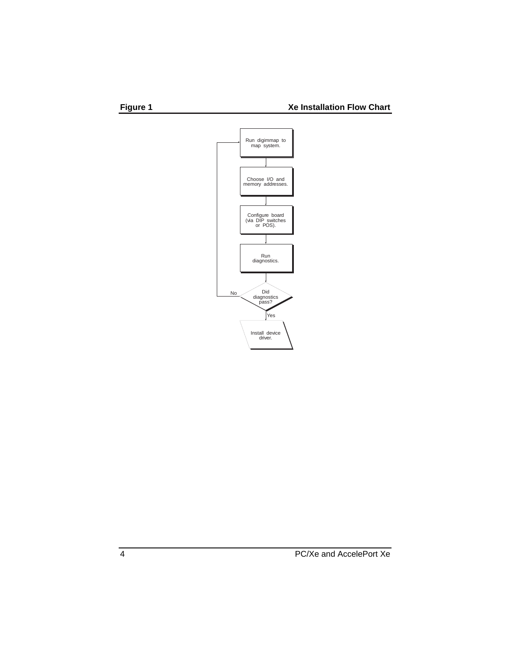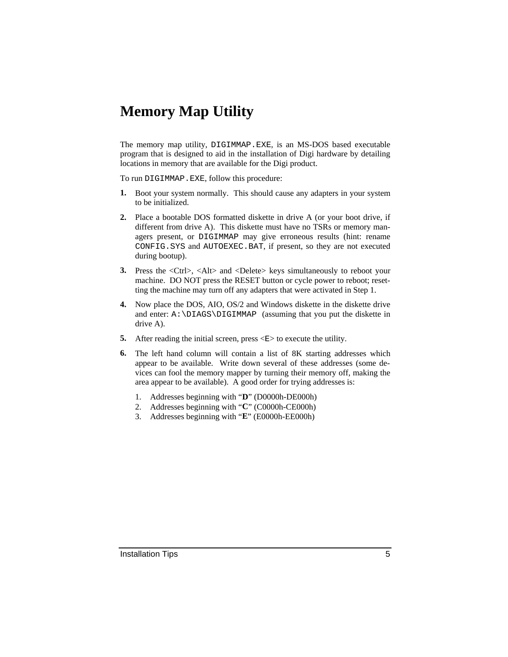## **Memory Map Utility**

The memory map utility, DIGIMMAP.EXE, is an MS-DOS based executable program that is designed to aid in the installation of Digi hardware by detailing locations in memory that are available for the Digi product.

To run DIGIMMAP.EXE, follow this procedure:

- **1.** Boot your system normally. This should cause any adapters in your system to be initialized.
- **2.** Place a bootable DOS formatted diskette in drive A (or your boot drive, if different from drive A). This diskette must have no TSRs or memory managers present, or DIGIMMAP may give erroneous results (hint: rename CONFIG.SYS and AUTOEXEC.BAT, if present, so they are not executed during bootup).
- **3.** Press the <Ctrl>, <Alt> and <Delete> keys simultaneously to reboot your machine. DO NOT press the RESET button or cycle power to reboot; resetting the machine may turn off any adapters that were activated in Step 1.
- **4.** Now place the DOS, AIO, OS/2 and Windows diskette in the diskette drive and enter: A:\DIAGS\DIGIMMAP (assuming that you put the diskette in drive A).
- **5.** After reading the initial screen, press  $\langle E \rangle$  to execute the utility.
- **6.** The left hand column will contain a list of 8K starting addresses which appear to be available. Write down several of these addresses (some devices can fool the memory mapper by turning their memory off, making the area appear to be available). A good order for trying addresses is:
	- 1. Addresses beginning with "**D**" (D0000h-DE000h)
	- 2. Addresses beginning with "**C**" (C0000h-CE000h)
	- 3. Addresses beginning with "**E**" (E0000h-EE000h)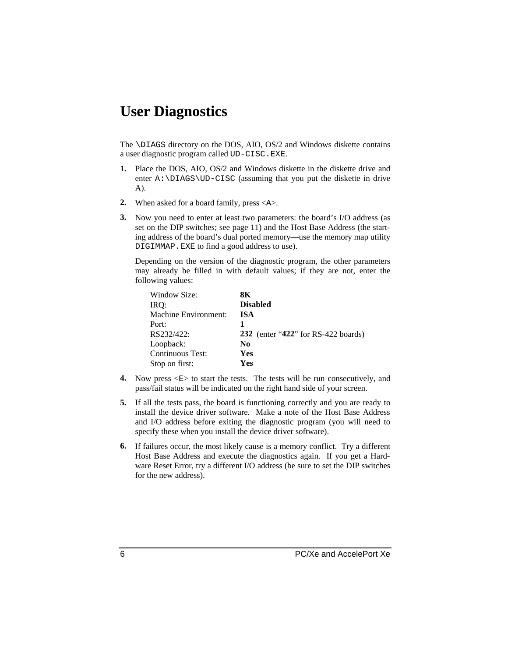## **User Diagnostics**

The \DIAGS directory on the DOS, AIO, OS/2 and Windows diskette contains a user diagnostic program called UD-CISC.EXE.

- **1.** Place the DOS, AIO, OS/2 and Windows diskette in the diskette drive and enter A:\DIAGS\UD-CISC (assuming that you put the diskette in drive A).
- **2.** When asked for a board family, press <A>.
- **3.** Now you need to enter at least two parameters: the board's I/O address (as set on the DIP switches; see page 11) and the Host Base Address (the starting address of the board's dual ported memory—use the memory map utility DIGIMMAP.EXE to find a good address to use).

Depending on the version of the diagnostic program, the other parameters may already be filled in with default values; if they are not, enter the following values:

| Window Size:            | 8К                                         |
|-------------------------|--------------------------------------------|
| IRQ:                    | <b>Disabled</b>                            |
| Machine Environment:    | <b>ISA</b>                                 |
| Port:                   |                                            |
| RS232/422:              | <b>232</b> (enter "422" for RS-422 boards) |
| Loopback:               | N <sub>0</sub>                             |
| <b>Continuous Test:</b> | Yes                                        |
| Stop on first:          | Yes                                        |

- **4.** Now press  $\leq E$  to start the tests. The tests will be run consecutively, and pass/fail status will be indicated on the right hand side of your screen.
- **5.** If all the tests pass, the board is functioning correctly and you are ready to install the device driver software. Make a note of the Host Base Address and I/O address before exiting the diagnostic program (you will need to specify these when you install the device driver software).
- **6.** If failures occur, the most likely cause is a memory conflict. Try a different Host Base Address and execute the diagnostics again. If you get a Hardware Reset Error, try a different I/O address (be sure to set the DIP switches for the new address).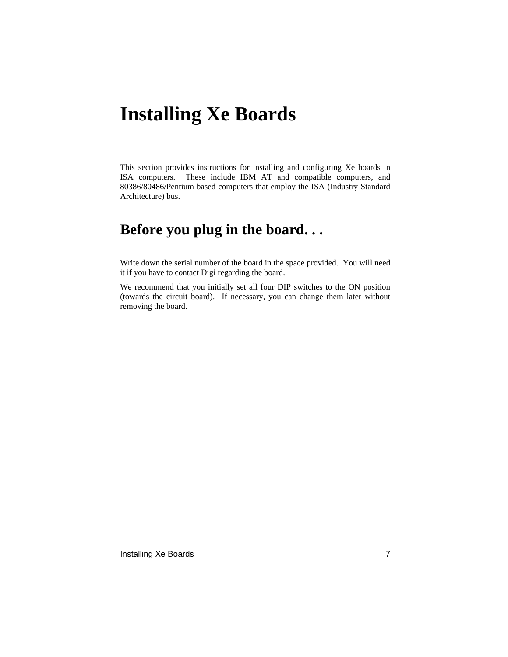## **Installing Xe Boards**

This section provides instructions for installing and configuring Xe boards in ISA computers. These include IBM AT and compatible computers, and 80386/80486/Pentium based computers that employ the ISA (Industry Standard Architecture) bus.

## **Before you plug in the board. . .**

Write down the serial number of the board in the space provided. You will need it if you have to contact Digi regarding the board.

We recommend that you initially set all four DIP switches to the ON position (towards the circuit board). If necessary, you can change them later without removing the board.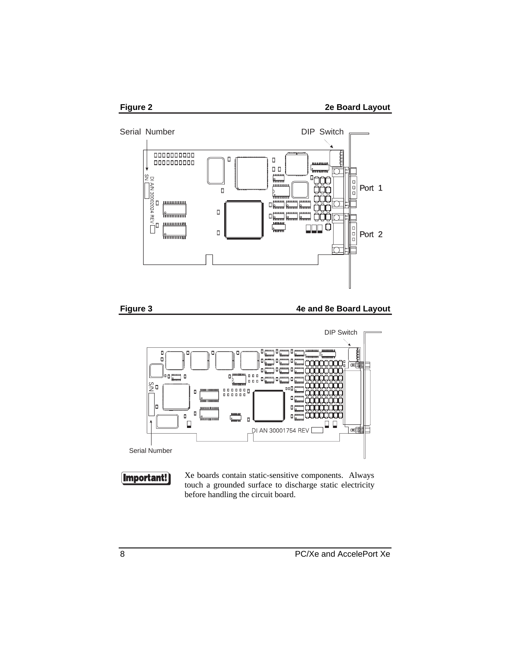



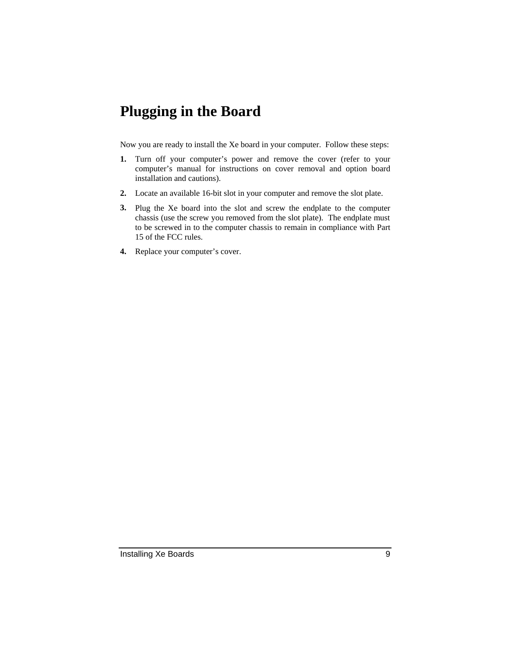## **Plugging in the Board**

Now you are ready to install the Xe board in your computer. Follow these steps:

- **1.** Turn off your computer's power and remove the cover (refer to your computer's manual for instructions on cover removal and option board installation and cautions).
- **2.** Locate an available 16-bit slot in your computer and remove the slot plate.
- **3.** Plug the Xe board into the slot and screw the endplate to the computer chassis (use the screw you removed from the slot plate). The endplate must to be screwed in to the computer chassis to remain in compliance with Part 15 of the FCC rules.
- **4.** Replace your computer's cover.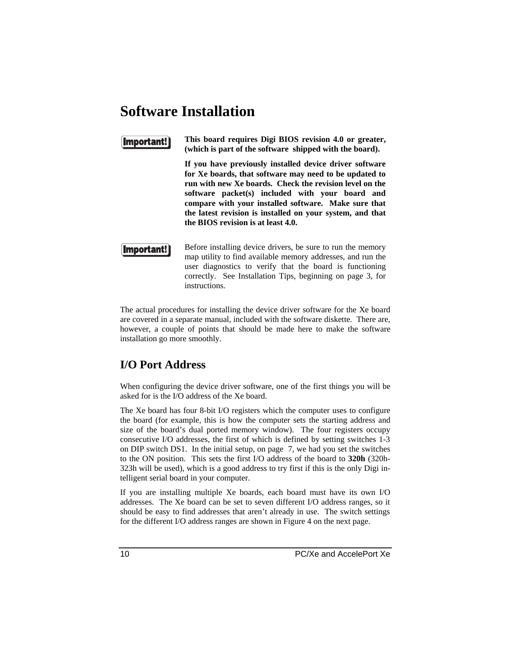## **Software Installation**

#### Important!

**This board requires Digi BIOS revision 4.0 or greater, (which is part of the software shipped with the board).**

**If you have previously installed device driver software for Xe boards, that software may need to be updated to run with new Xe boards. Check the revision level on the software packet(s) included with your board and compare with your installed software. Make sure that the latest revision is installed on your system, and that the BIOS revision is at least 4.0.**

(Important!

Before installing device drivers, be sure to run the memory map utility to find available memory addresses, and run the user diagnostics to verify that the board is functioning correctly. See Installation Tips, beginning on page 3, for instructions.

The actual procedures for installing the device driver software for the Xe board are covered in a separate manual, included with the software diskette. There are, however, a couple of points that should be made here to make the software installation go more smoothly.

### **I/O Port Address**

When configuring the device driver software, one of the first things you will be asked for is the I/O address of the Xe board.

The Xe board has four 8-bit I/O registers which the computer uses to configure the board (for example, this is how the computer sets the starting address and size of the board's dual ported memory window). The four registers occupy consecutive I/O addresses, the first of which is defined by setting switches 1-3 on DIP switch DS1. In the initial setup, on page 7, we had you set the switches to the ON position. This sets the first I/O address of the board to **320h** (320h-323h will be used), which is a good address to try first if this is the only Digi intelligent serial board in your computer.

If you are installing multiple Xe boards, each board must have its own I/O addresses. The Xe board can be set to seven different I/O address ranges, so it should be easy to find addresses that aren't already in use. The switch settings for the different I/O address ranges are shown in Figure 4 on the next page.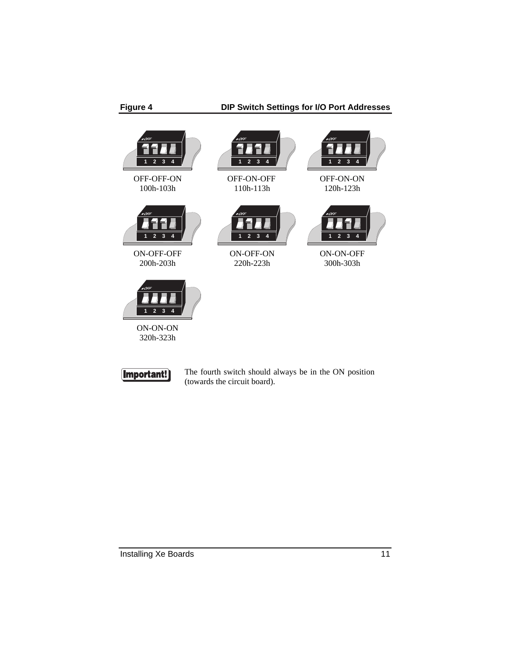



The fourth switch should always be in the ON position (towards the circuit board).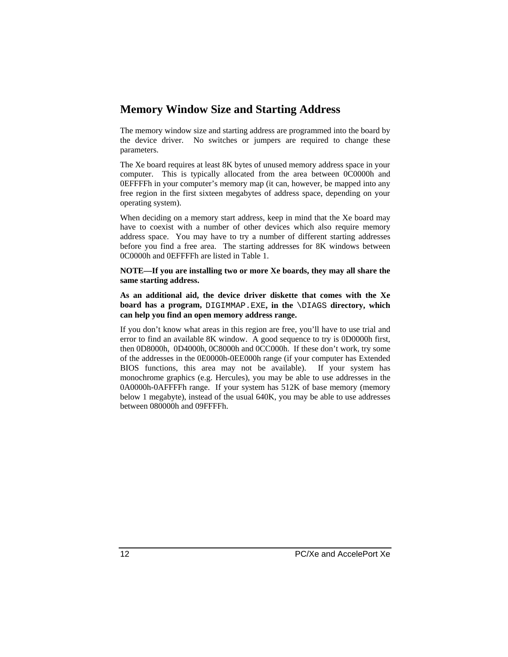#### **Memory Window Size and Starting Address**

The memory window size and starting address are programmed into the board by the device driver. No switches or jumpers are required to change these parameters.

The Xe board requires at least 8K bytes of unused memory address space in your computer. This is typically allocated from the area between 0C0000h and 0EFFFFh in your computer's memory map (it can, however, be mapped into any free region in the first sixteen megabytes of address space, depending on your operating system).

When deciding on a memory start address, keep in mind that the Xe board may have to coexist with a number of other devices which also require memory address space. You may have to try a number of different starting addresses before you find a free area. The starting addresses for 8K windows between 0C0000h and 0EFFFFh are listed in Table 1.

**NOTE—If you are installing two or more Xe boards, they may all share the same starting address.**

**As an additional aid, the device driver diskette that comes with the Xe board has a program,** DIGIMMAP.EXE**, in the** \DIAGS **directory, which can help you find an open memory address range.**

If you don't know what areas in this region are free, you'll have to use trial and error to find an available 8K window. A good sequence to try is 0D0000h first, then 0D8000h, 0D4000h, 0C8000h and 0CC000h. If these don't work, try some of the addresses in the 0E0000h-0EE000h range (if your computer has Extended BIOS functions, this area may not be available). If your system has monochrome graphics (e.g. Hercules), you may be able to use addresses in the 0A0000h-0AFFFFh range. If your system has 512K of base memory (memory below 1 megabyte), instead of the usual 640K, you may be able to use addresses between 080000h and 09FFFFh.

12 PC/Xe and AccelePort Xe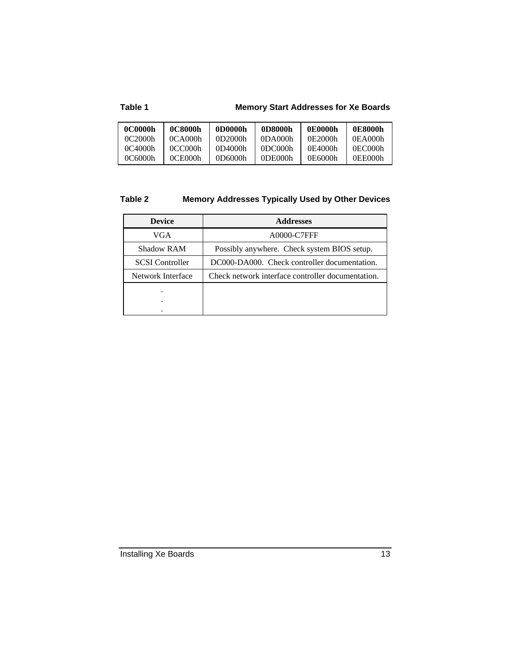#### **Table 1 Memory Start Addresses for Xe Boards**

| 0C0000h | 0C8000h           | 0D0000h | 0D8000h | 0E0000h | 0E8000h |
|---------|-------------------|---------|---------|---------|---------|
| 0C2000h | $0$ CA $0$ 00 $h$ | 0D2000h | 0DA000h | 0E2000h | 0EA000h |
| 0C4000h | 0CC000h           | 0D4000h | 0DC000h | 0E4000h | 0EC000h |
| 0C6000h | 0CE000h           | 0D6000h | 0DE000h | 0E6000h | 0EE000h |

### **Table 2 Memory Addresses Typically Used by Other Devices**

| <b>Device</b>          | <b>Addresses</b>                                  |  |  |
|------------------------|---------------------------------------------------|--|--|
| VGA                    | A0000-C7FFF                                       |  |  |
| <b>Shadow RAM</b>      | Possibly anywhere. Check system BIOS setup.       |  |  |
| <b>SCSI</b> Controller | DC000-DA000. Check controller documentation.      |  |  |
| Network Interface      | Check network interface controller documentation. |  |  |
|                        |                                                   |  |  |
| ٠                      |                                                   |  |  |
|                        |                                                   |  |  |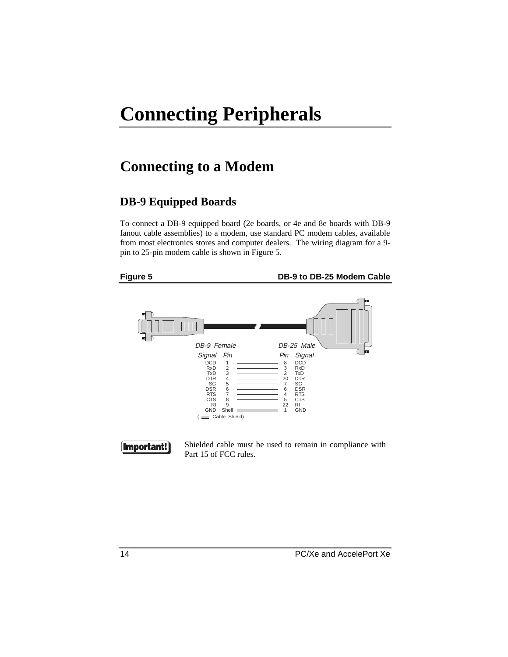## **Connecting Peripherals**

## **Connecting to a Modem**

### **DB-9 Equipped Boards**

To connect a DB-9 equipped board (2e boards, or 4e and 8e boards with DB-9 fanout cable assemblies) to a modem, use standard PC modem cables, available from most electronics stores and computer dealers. The wiring diagram for a 9 pin to 25-pin modem cable is shown in Figure 5.

**Figure 5 DB-9 to DB-25 Modem Cable**





Shielded cable must be used to remain in compliance with Part 15 of FCC rules.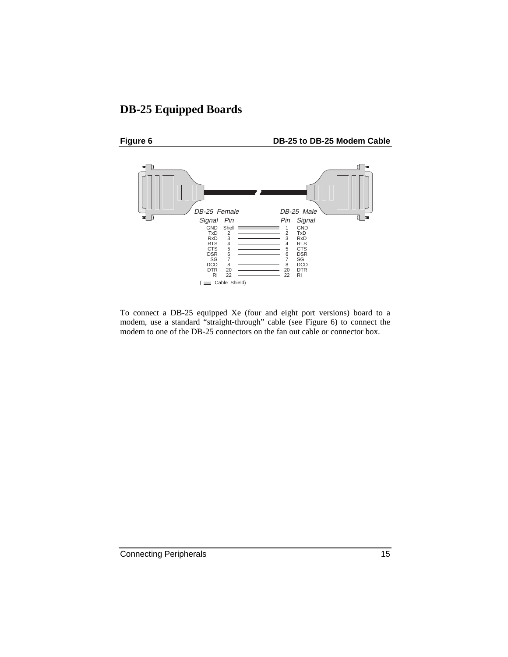### **DB-25 Equipped Boards**



To connect a DB-25 equipped Xe (four and eight port versions) board to a modem, use a standard "straight-through" cable (see Figure 6) to connect the modem to one of the DB-25 connectors on the fan out cable or connector box.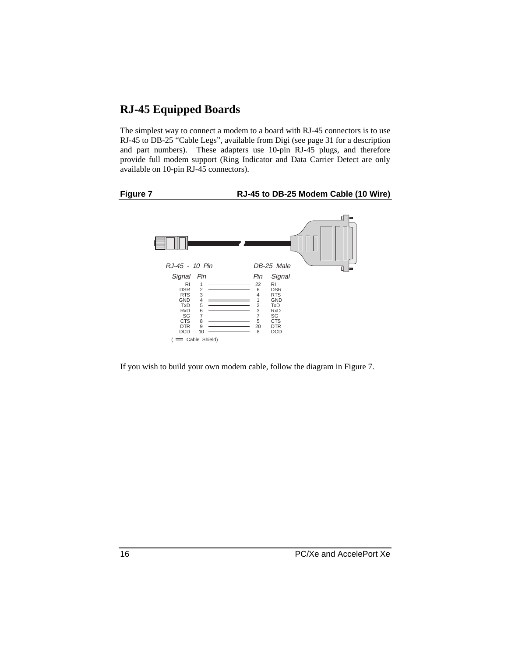#### **RJ-45 Equipped Boards**

The simplest way to connect a modem to a board with RJ-45 connectors is to use RJ-45 to DB-25 "Cable Legs", available from Digi (see page 31 for a description and part numbers). These adapters use 10-pin RJ-45 plugs, and therefore provide full modem support (Ring Indicator and Data Carrier Detect are only available on 10-pin RJ-45 connectors).



#### **Figure 7 RJ-45 to DB-25 Modem Cable (10 Wire)**



If you wish to build your own modem cable, follow the diagram in Figure 7.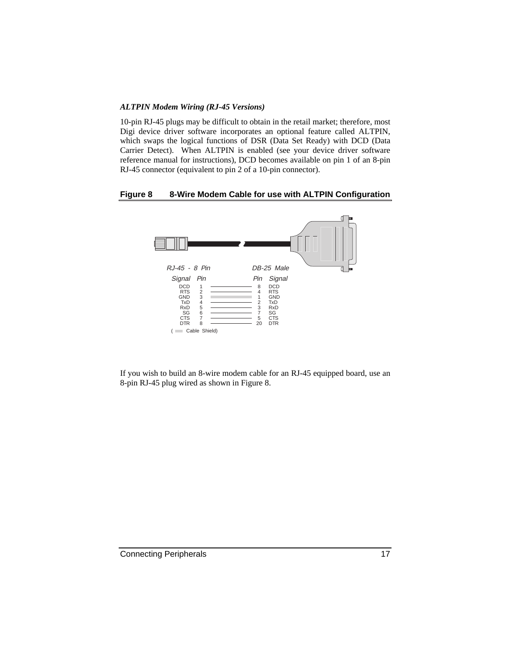#### *ALTPIN Modem Wiring (RJ-45 Versions)*

10-pin RJ-45 plugs may be difficult to obtain in the retail market; therefore, most Digi device driver software incorporates an optional feature called ALTPIN, which swaps the logical functions of DSR (Data Set Ready) with DCD (Data Carrier Detect). When ALTPIN is enabled (see your device driver software reference manual for instructions), DCD becomes available on pin 1 of an 8-pin RJ-45 connector (equivalent to pin 2 of a 10-pin connector).

#### **Figure 8 8-Wire Modem Cable for use with ALTPIN Configuration**



If you wish to build an 8-wire modem cable for an RJ-45 equipped board, use an 8-pin RJ-45 plug wired as shown in Figure 8.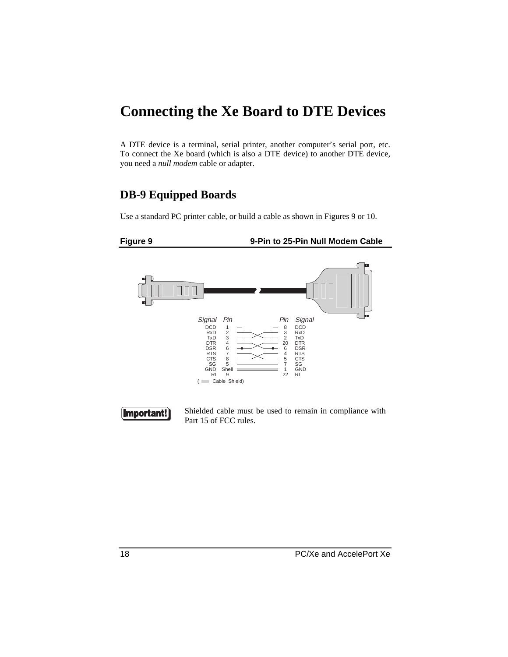## **Connecting the Xe Board to DTE Devices**

A DTE device is a terminal, serial printer, another computer's serial port, etc. To connect the Xe board (which is also a DTE device) to another DTE device, you need a *null modem* cable or adapter.

### **DB-9 Equipped Boards**

Use a standard PC printer cable, or build a cable as shown in Figures 9 or 10.





Shielded cable must be used to remain in compliance with Part 15 of FCC rules.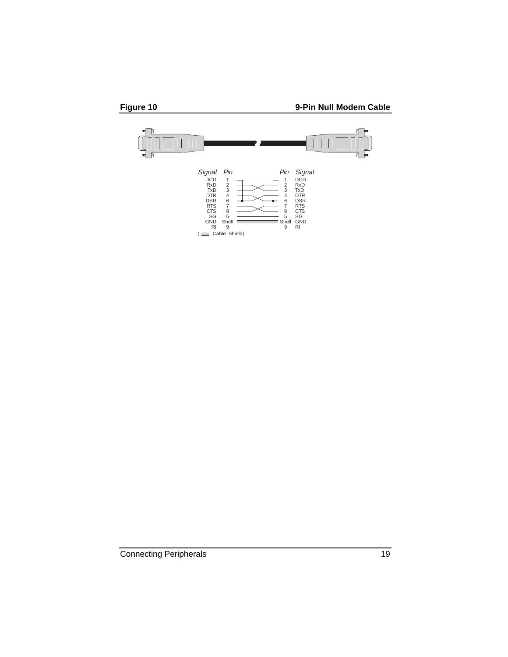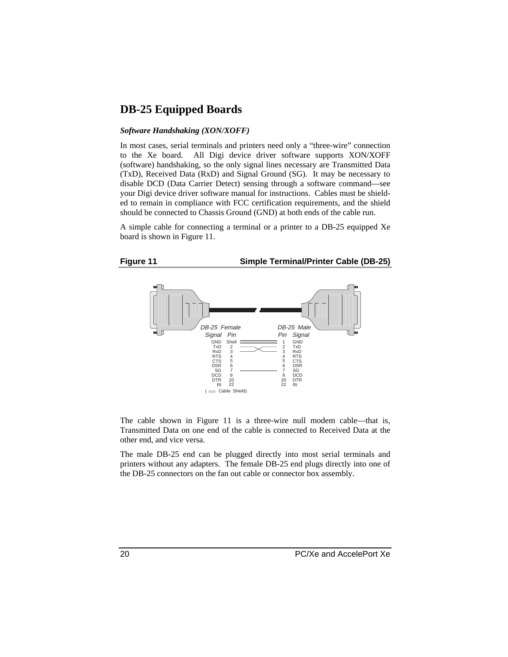#### **DB-25 Equipped Boards**

#### *Software Handshaking (XON/XOFF)*

In most cases, serial terminals and printers need only a "three-wire" connection to the Xe board. All Digi device driver software supports XON/XOFF (software) handshaking, so the only signal lines necessary are Transmitted Data (TxD), Received Data (RxD) and Signal Ground (SG). It may be necessary to disable DCD (Data Carrier Detect) sensing through a software command—see your Digi device driver software manual for instructions. Cables must be shielded to remain in compliance with FCC certification requirements, and the shield should be connected to Chassis Ground (GND) at both ends of the cable run.

A simple cable for connecting a terminal or a printer to a DB-25 equipped Xe board is shown in Figure 11.

#### **Figure 11 Simple Terminal/Printer Cable (DB-25)**



The cable shown in Figure 11 is a three-wire null modem cable—that is, Transmitted Data on one end of the cable is connected to Received Data at the other end, and vice versa.

The male DB-25 end can be plugged directly into most serial terminals and printers without any adapters. The female DB-25 end plugs directly into one of the DB-25 connectors on the fan out cable or connector box assembly.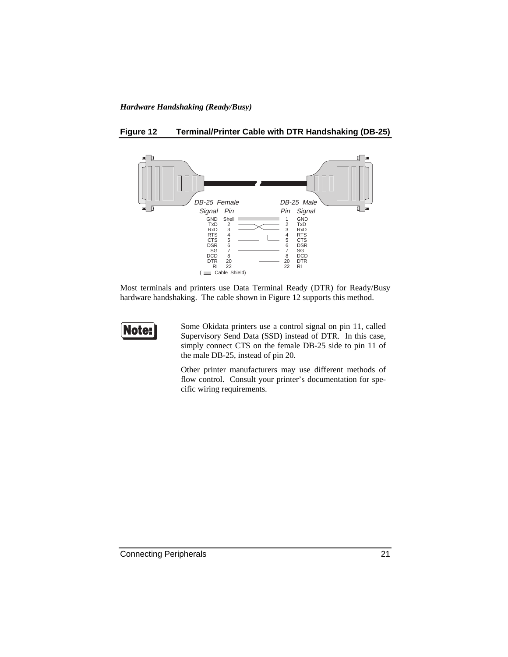#### *Hardware Handshaking (Ready/Busy)*



**Figure 12 Terminal/Printer Cable with DTR Handshaking (DB-25)**

Most terminals and printers use Data Terminal Ready (DTR) for Ready/Busy hardware handshaking. The cable shown in Figure 12 supports this method.



Some Okidata printers use a control signal on pin 11, called Supervisory Send Data (SSD) instead of DTR. In this case, simply connect CTS on the female DB-25 side to pin 11 of the male DB-25, instead of pin 20.

Other printer manufacturers may use different methods of flow control. Consult your printer's documentation for specific wiring requirements.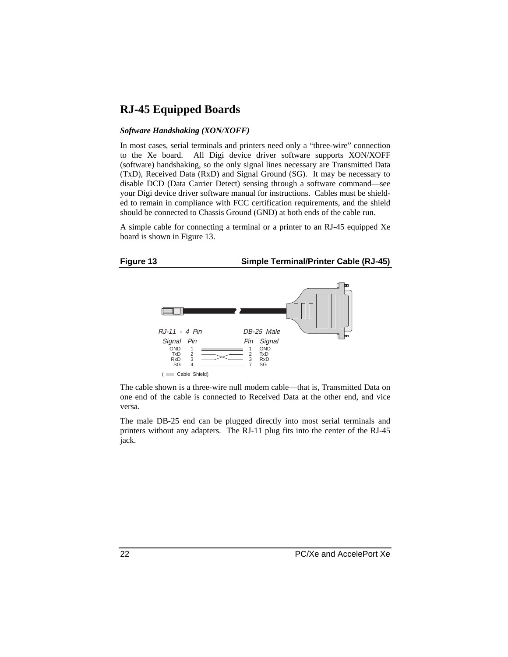#### **RJ-45 Equipped Boards**

#### *Software Handshaking (XON/XOFF)*

In most cases, serial terminals and printers need only a "three-wire" connection to the Xe board. All Digi device driver software supports XON/XOFF (software) handshaking, so the only signal lines necessary are Transmitted Data (TxD), Received Data (RxD) and Signal Ground (SG). It may be necessary to disable DCD (Data Carrier Detect) sensing through a software command—see your Digi device driver software manual for instructions. Cables must be shielded to remain in compliance with FCC certification requirements, and the shield should be connected to Chassis Ground (GND) at both ends of the cable run.

A simple cable for connecting a terminal or a printer to an RJ-45 equipped Xe board is shown in Figure 13.

#### **Figure 13 Simple Terminal/Printer Cable (RJ-45)**



The cable shown is a three-wire null modem cable—that is, Transmitted Data on one end of the cable is connected to Received Data at the other end, and vice versa.

The male DB-25 end can be plugged directly into most serial terminals and printers without any adapters. The RJ-11 plug fits into the center of the RJ-45 jack.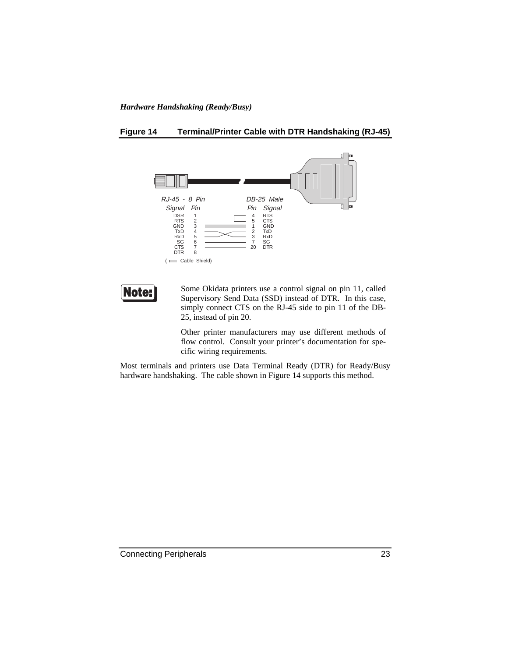#### *Hardware Handshaking (Ready/Busy)*

#### **Figure 14 Terminal/Printer Cable with DTR Handshaking (RJ-45)**



Note:

Some Okidata printers use a control signal on pin 11, called Supervisory Send Data (SSD) instead of DTR. In this case, simply connect CTS on the RJ-45 side to pin 11 of the DB-25, instead of pin 20.

Other printer manufacturers may use different methods of flow control. Consult your printer's documentation for specific wiring requirements.

Most terminals and printers use Data Terminal Ready (DTR) for Ready/Busy hardware handshaking. The cable shown in Figure 14 supports this method.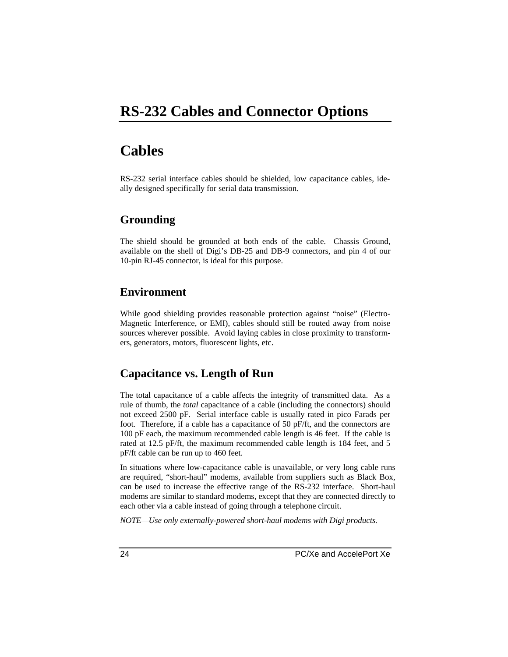## **RS-232 Cables and Connector Options**

## **Cables**

RS-232 serial interface cables should be shielded, low capacitance cables, ideally designed specifically for serial data transmission.

#### **Grounding**

The shield should be grounded at both ends of the cable. Chassis Ground, available on the shell of Digi's DB-25 and DB-9 connectors, and pin 4 of our 10-pin RJ-45 connector, is ideal for this purpose.

#### **Environment**

While good shielding provides reasonable protection against "noise" (Electro-Magnetic Interference, or EMI), cables should still be routed away from noise sources wherever possible. Avoid laying cables in close proximity to transformers, generators, motors, fluorescent lights, etc.

#### **Capacitance vs. Length of Run**

The total capacitance of a cable affects the integrity of transmitted data. As a rule of thumb, the *total* capacitance of a cable (including the connectors) should not exceed 2500 pF. Serial interface cable is usually rated in pico Farads per foot. Therefore, if a cable has a capacitance of 50 pF/ft, and the connectors are 100 pF each, the maximum recommended cable length is 46 feet. If the cable is rated at 12.5 pF/ft, the maximum recommended cable length is 184 feet, and 5 pF/ft cable can be run up to 460 feet.

In situations where low-capacitance cable is unavailable, or very long cable runs are required, "short-haul" modems, available from suppliers such as Black Box, can be used to increase the effective range of the RS-232 interface. Short-haul modems are similar to standard modems, except that they are connected directly to each other via a cable instead of going through a telephone circuit.

*NOTE—Use only externally-powered short-haul modems with Digi products.*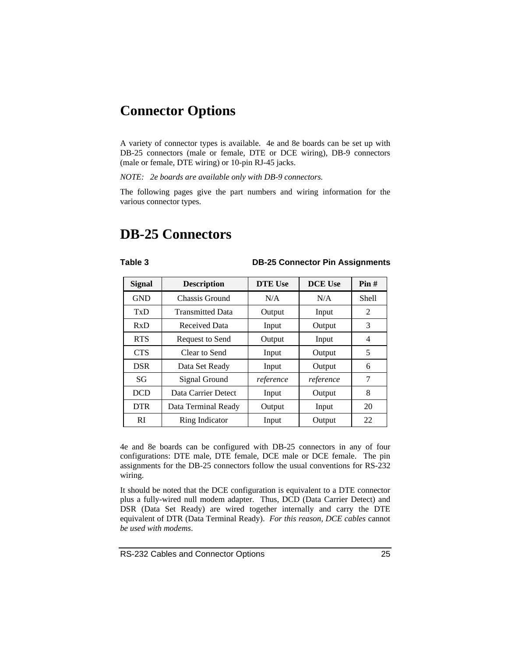## **Connector Options**

A variety of connector types is available. 4e and 8e boards can be set up with DB-25 connectors (male or female, DTE or DCE wiring), DB-9 connectors (male or female, DTE wiring) or 10-pin RJ-45 jacks.

*NOTE: 2e boards are available only with DB-9 connectors.*

The following pages give the part numbers and wiring information for the various connector types.

## **DB-25 Connectors**

#### **Table 3 DB-25 Connector Pin Assignments**

| <b>Signal</b> | <b>Description</b>      | <b>DTE Use</b> | <b>DCE Use</b> | Pin#  |
|---------------|-------------------------|----------------|----------------|-------|
| <b>GND</b>    | Chassis Ground          | N/A            | N/A            | Shell |
| TxD           | <b>Transmitted Data</b> | Output         | Input          | 2     |
| RxD           | Received Data           | Input          | Output         | 3     |
| <b>RTS</b>    | Request to Send         | Output         | Input          | 4     |
| <b>CTS</b>    | Clear to Send           | Input          | Output         | 5     |
| <b>DSR</b>    | Data Set Ready          | Input          | Output         | 6     |
| SG            | Signal Ground           | reference      | reference      | 7     |
| <b>DCD</b>    | Data Carrier Detect     | Input          | Output         | 8     |
| <b>DTR</b>    | Data Terminal Ready     | Output         | Input          | 20    |
| <sub>RI</sub> | Ring Indicator          | Input          | Output         | 22    |

4e and 8e boards can be configured with DB-25 connectors in any of four configurations: DTE male, DTE female, DCE male or DCE female. The pin assignments for the DB-25 connectors follow the usual conventions for RS-232 wiring.

It should be noted that the DCE configuration is equivalent to a DTE connector plus a fully-wired null modem adapter. Thus, DCD (Data Carrier Detect) and DSR (Data Set Ready) are wired together internally and carry the DTE equivalent of DTR (Data Terminal Ready). *For this reason, DCE cables* cannot *be used with modems*.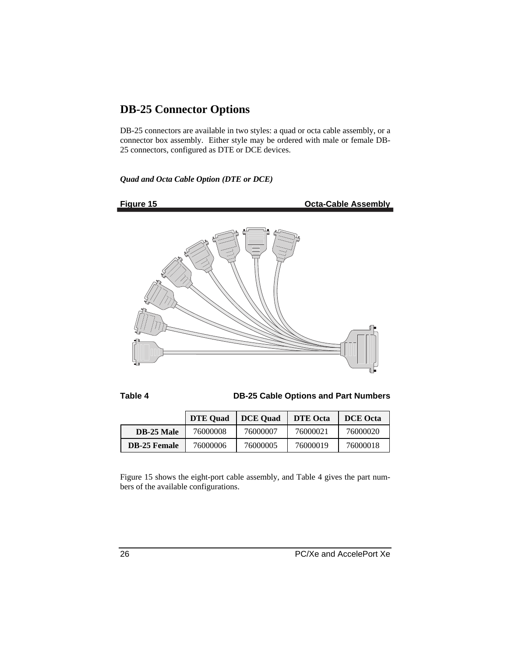### **DB-25 Connector Options**

DB-25 connectors are available in two styles: a quad or octa cable assembly, or a connector box assembly. Either style may be ordered with male or female DB-25 connectors, configured as DTE or DCE devices.

*Quad and Octa Cable Option (DTE or DCE)*



**Figure 15** Octa-Cable Assembly



**Table 4 DB-25 Cable Options and Part Numbers**

|                     | <b>DTE Quad</b> | <b>DCE</b> Ouad | <b>DTE</b> Octa | <b>DCE</b> Octa |
|---------------------|-----------------|-----------------|-----------------|-----------------|
| <b>DB-25 Male</b>   | 76000008        | 76000007        | 76000021        | 76000020        |
| <b>DB-25 Female</b> | 76000006        | 76000005        | 76000019        | 76000018        |

Figure 15 shows the eight-port cable assembly, and Table 4 gives the part numbers of the available configurations.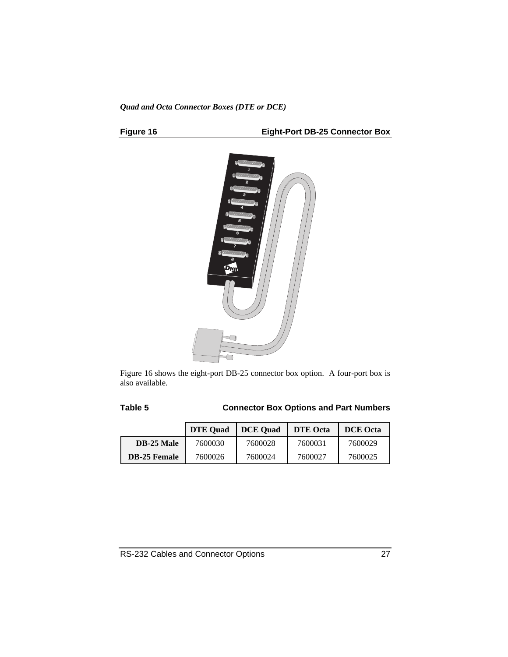#### *Quad and Octa Connector Boxes (DTE or DCE)*

#### **Figure 16 Eight-Port DB-25 Connector Box**



Figure 16 shows the eight-port DB-25 connector box option. A four-port box is also available.

#### **Table 5 Connector Box Options and Part Numbers**

|                     | <b>DTE Ouad</b> | <b>DCE Ouad</b> | <b>DTE Octa</b> | <b>DCE</b> Octa |
|---------------------|-----------------|-----------------|-----------------|-----------------|
| <b>DB-25 Male</b>   | 7600030         | 7600028         | 7600031         | 7600029         |
| <b>DB-25 Female</b> | 7600026         | 7600024         | 7600027         | 7600025         |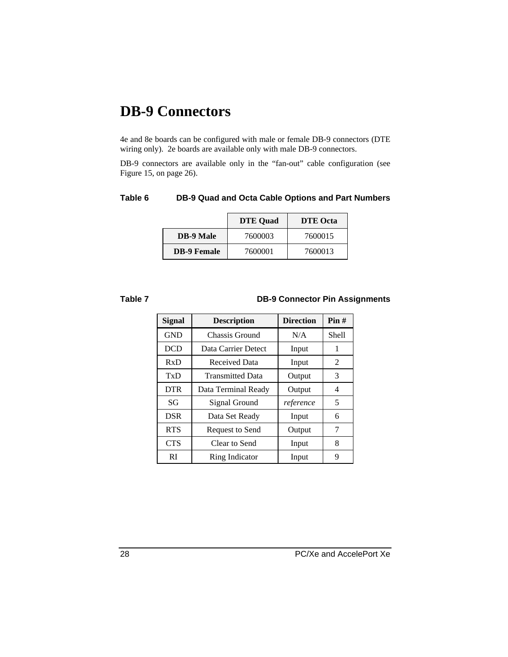## **DB-9 Connectors**

4e and 8e boards can be configured with male or female DB-9 connectors (DTE wiring only). 2e boards are available only with male DB-9 connectors.

DB-9 connectors are available only in the "fan-out" cable configuration (see Figure 15, on page 26).

#### **Table 6 DB-9 Quad and Octa Cable Options and Part Numbers**

|                    | <b>DTE Ouad</b> | <b>DTE</b> Octa |
|--------------------|-----------------|-----------------|
| <b>DB-9 Male</b>   | 7600003         | 7600015         |
| <b>DB-9 Female</b> | 7600001         | 7600013         |

#### **Table 7 DB-9 Connector Pin Assignments**

| <b>Signal</b> | <b>Description</b>      | <b>Direction</b> | Pin#  |
|---------------|-------------------------|------------------|-------|
| <b>GND</b>    | Chassis Ground          | N/A              | Shell |
| <b>DCD</b>    | Data Carrier Detect     | Input            | 1     |
| RxD           | Received Data           | Input            | 2     |
| TxD           | <b>Transmitted Data</b> | Output           | 3     |
| <b>DTR</b>    | Data Terminal Ready     | Output           | 4     |
| SG            | Signal Ground           | reference        | 5     |
| <b>DSR</b>    | Data Set Ready          | Input            | 6     |
| <b>RTS</b>    | <b>Request to Send</b>  | Output           | 7     |
| <b>CTS</b>    | Clear to Send           | Input            | 8     |
| <sub>RI</sub> | Ring Indicator          | Input            | 9     |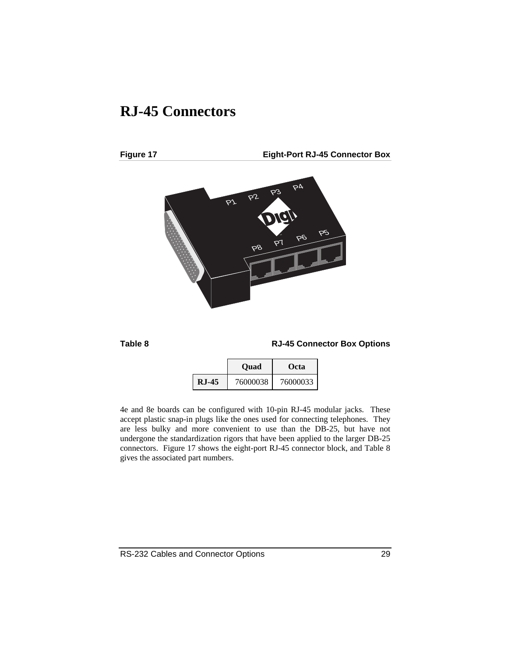## **RJ-45 Connectors**

**Figure 17 Eight-Port RJ-45 Connector Box**



#### **Table 8 RJ-45 Connector Box Options**

|               | <b>Ouad</b> | Octa     |
|---------------|-------------|----------|
| <b>R.I-45</b> | 76000038    | 76000033 |

4e and 8e boards can be configured with 10-pin RJ-45 modular jacks. These accept plastic snap-in plugs like the ones used for connecting telephones. They are less bulky and more convenient to use than the DB-25, but have not undergone the standardization rigors that have been applied to the larger DB-25 connectors. Figure 17 shows the eight-port RJ-45 connector block, and Table 8 gives the associated part numbers.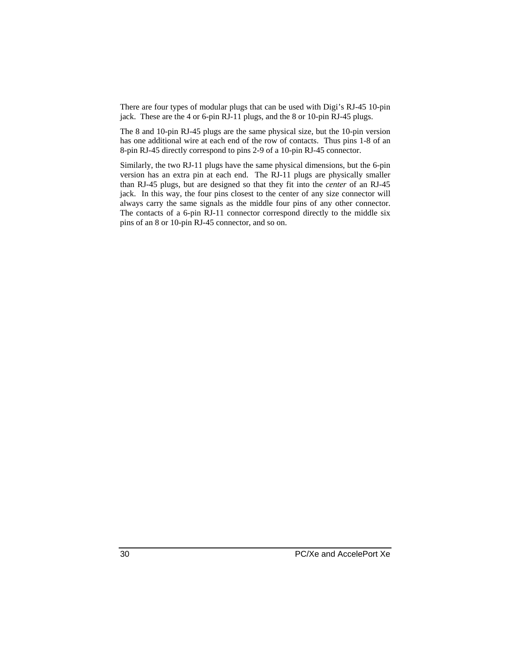There are four types of modular plugs that can be used with Digi's RJ-45 10-pin jack. These are the 4 or 6-pin RJ-11 plugs, and the 8 or 10-pin RJ-45 plugs.

The 8 and 10-pin RJ-45 plugs are the same physical size, but the 10-pin version has one additional wire at each end of the row of contacts. Thus pins 1-8 of an 8-pin RJ-45 directly correspond to pins 2-9 of a 10-pin RJ-45 connector.

Similarly, the two RJ-11 plugs have the same physical dimensions, but the 6-pin version has an extra pin at each end. The RJ-11 plugs are physically smaller than RJ-45 plugs, but are designed so that they fit into the *center* of an RJ-45 jack. In this way, the four pins closest to the center of any size connector will always carry the same signals as the middle four pins of any other connector. The contacts of a 6-pin RJ-11 connector correspond directly to the middle six pins of an 8 or 10-pin RJ-45 connector, and so on.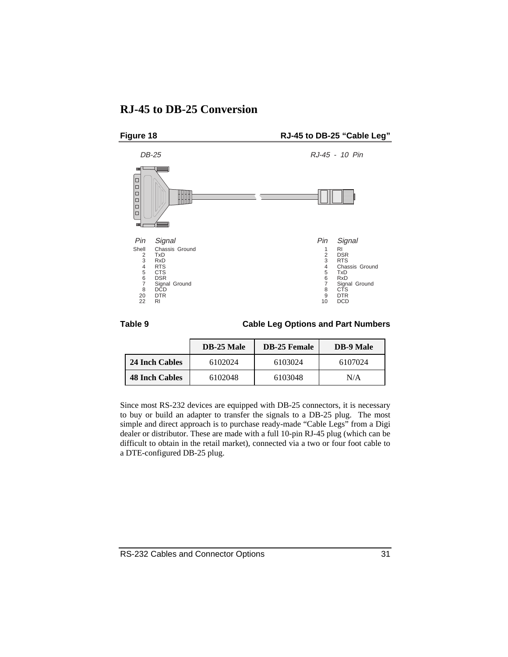### **RJ-45 to DB-25 Conversion**



**Table 9 Cable Leg Options and Part Numbers**

|                       | <b>DB-25 Male</b> | <b>DB-25 Female</b> | <b>DB-9 Male</b> |
|-----------------------|-------------------|---------------------|------------------|
| 24 Inch Cables        | 6102024           | 6103024             | 6107024          |
| <b>48 Inch Cables</b> | 6102048           | 6103048             | N/A              |

Since most RS-232 devices are equipped with DB-25 connectors, it is necessary to buy or build an adapter to transfer the signals to a DB-25 plug. The most simple and direct approach is to purchase ready-made "Cable Legs" from a Digi dealer or distributor. These are made with a full 10-pin RJ-45 plug (which can be difficult to obtain in the retail market), connected via a two or four foot cable to a DTE-configured DB-25 plug.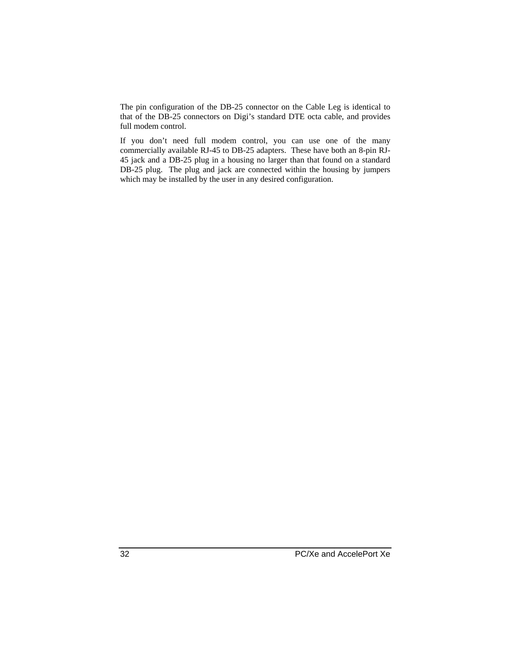The pin configuration of the DB-25 connector on the Cable Leg is identical to that of the DB-25 connectors on Digi's standard DTE octa cable, and provides full modem control.

If you don't need full modem control, you can use one of the many commercially available RJ-45 to DB-25 adapters. These have both an 8-pin RJ-45 jack and a DB-25 plug in a housing no larger than that found on a standard DB-25 plug. The plug and jack are connected within the housing by jumpers which may be installed by the user in any desired configuration.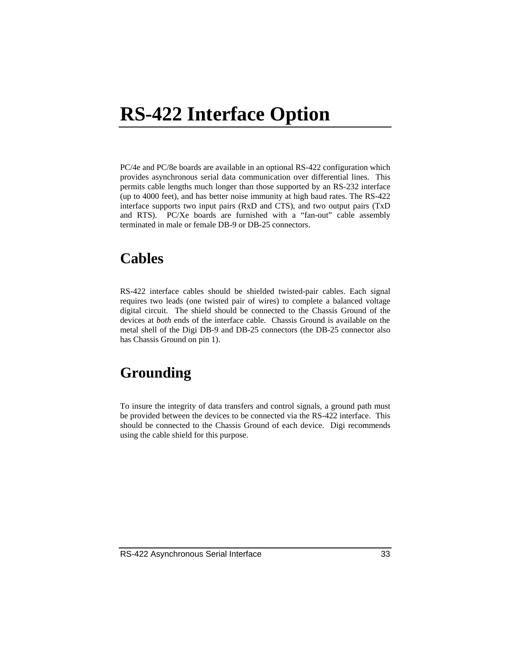## **RS-422 Interface Option**

PC/4e and PC/8e boards are available in an optional RS-422 configuration which provides asynchronous serial data communication over differential lines. This permits cable lengths much longer than those supported by an RS-232 interface (up to 4000 feet), and has better noise immunity at high baud rates. The RS-422 interface supports two input pairs (RxD and CTS), and two output pairs (TxD and RTS). PC/Xe boards are furnished with a "fan-out" cable assembly terminated in male or female DB-9 or DB-25 connectors.

## **Cables**

RS-422 interface cables should be shielded twisted-pair cables. Each signal requires two leads (one twisted pair of wires) to complete a balanced voltage digital circuit. The shield should be connected to the Chassis Ground of the devices at *both* ends of the interface cable. Chassis Ground is available on the metal shell of the Digi DB-9 and DB-25 connectors (the DB-25 connector also has Chassis Ground on pin 1).

## **Grounding**

To insure the integrity of data transfers and control signals, a ground path must be provided between the devices to be connected via the RS-422 interface. This should be connected to the Chassis Ground of each device. Digi recommends using the cable shield for this purpose.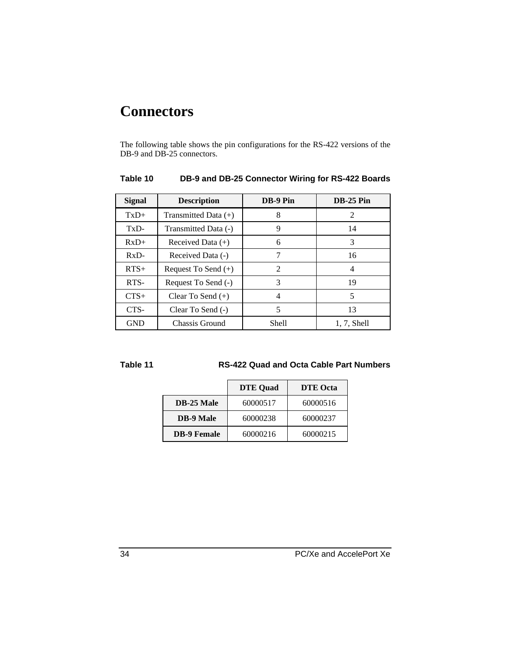## **Connectors**

The following table shows the pin configurations for the RS-422 versions of the DB-9 and DB-25 connectors.

| <b>Signal</b> | <b>Description</b>     | DB-9 Pin       | $DB-25$ Pin    |
|---------------|------------------------|----------------|----------------|
| $TxD+$        | Transmitted Data $(+)$ | 8              | 2              |
| TxD-          | Transmitted Data (-)   | 9              | 14             |
| $RxD+$        | Received Data $(+)$    | 6              | 3              |
| $RxD-$        | Received Data (-)      | 7              | 16             |
| $RTS+$        | Request To Send $(+)$  | $\mathfrak{D}$ | 4              |
| RTS-          | Request To Send (-)    | 3              | 19             |
| $CTS+$        | Clear To Send $(+)$    | 4              | 5              |
| CTS-          | Clear To Send (-)      | 5              | 13             |
| <b>GND</b>    | Chassis Ground         | Shell          | $1, 7$ , Shell |

#### **Table 10 DB-9 and DB-25 Connector Wiring for RS-422 Boards**

#### **Table 11 RS-422 Quad and Octa Cable Part Numbers**

|                    | <b>DTE</b> Quad | <b>DTE</b> Octa |
|--------------------|-----------------|-----------------|
| DB-25 Male         | 60000517        | 60000516        |
| <b>DB-9 Male</b>   | 60000238        | 60000237        |
| <b>DB-9 Female</b> | 60000216        | 60000215        |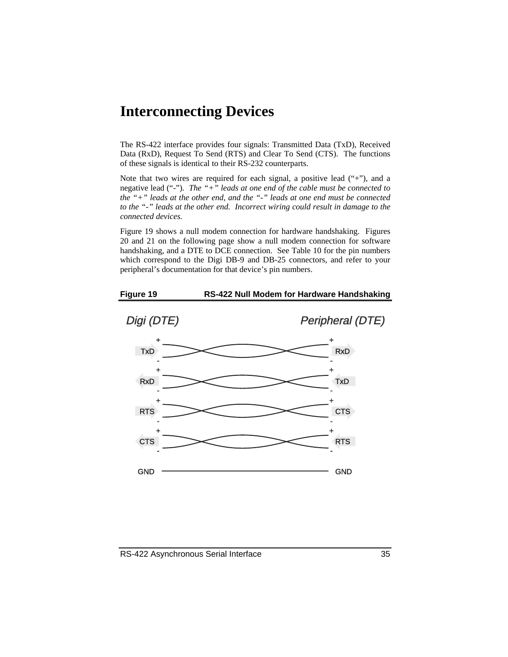## **Interconnecting Devices**

The RS-422 interface provides four signals: Transmitted Data (TxD), Received Data (RxD), Request To Send (RTS) and Clear To Send (CTS). The functions of these signals is identical to their RS-232 counterparts.

Note that two wires are required for each signal, a positive lead ("+"), and a negative lead ("-"). *The "+" leads at one end of the cable must be connected to the "+" leads at the other end, and the "-" leads at one end must be connected to the "-" leads at the other end. Incorrect wiring could result in damage to the connected devices.*

Figure 19 shows a null modem connection for hardware handshaking. Figures 20 and 21 on the following page show a null modem connection for software handshaking, and a DTE to DCE connection. See Table 10 for the pin numbers which correspond to the Digi DB-9 and DB-25 connectors, and refer to your peripheral's documentation for that device's pin numbers.



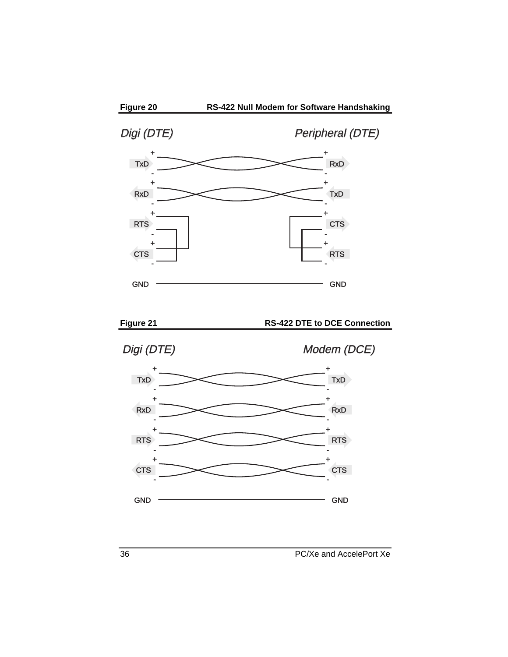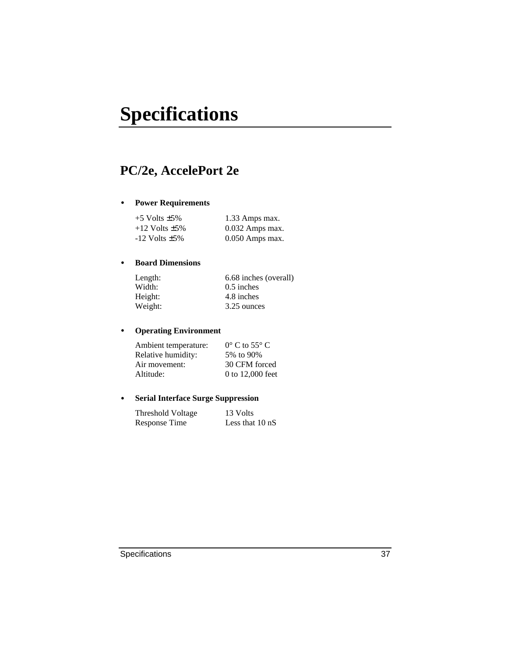## **Specifications**

## **PC/2e, AccelePort 2e**

#### • **Power Requirements**

| $+5$ Volts $\pm 5\%$  | 1.33 Amps max.    |
|-----------------------|-------------------|
| $+12$ Volts $\pm 5\%$ | $0.032$ Amps max. |
| $-12$ Volts $\pm 5\%$ | 0.050 Amps max.   |

#### • **Board Dimensions**

| Length: | 6.68 inches (overall) |
|---------|-----------------------|
| Width:  | $0.5$ inches          |
| Height: | 4.8 inches            |
| Weight: | 3.25 ounces           |

#### • **Operating Environment**

| Ambient temperature: | $0^{\circ}$ C to 55 $^{\circ}$ C |
|----------------------|----------------------------------|
| Relative humidity:   | 5% to 90%                        |
| Air movement:        | 30 CFM forced                    |
| Altitude:            | 0 to 12,000 feet                 |

#### • **Serial Interface Surge Suppression**

| Threshold Voltage    | 13 Volts                  |
|----------------------|---------------------------|
| <b>Response Time</b> | Less that $10 \text{ nS}$ |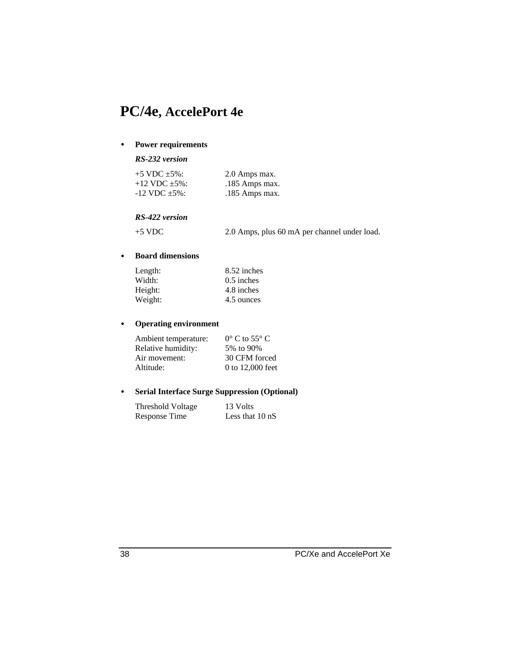## **PC/4e, AccelePort 4e**

#### • **Power requirements**

#### *RS-232 version*

| $+5$ VDC $\pm 5\%$ :  | 2.0 Amps max.  |
|-----------------------|----------------|
| $+12$ VDC $+5\%$ :    | .185 Amps max. |
| $-12$ VDC $\pm 5\%$ : | .185 Amps max. |

#### *RS-422 version*

+5 VDC 2.0 Amps, plus 60 mA per channel under load.

#### • **Board dimensions**

| Length: | 8.52 inches  |
|---------|--------------|
| Width:  | $0.5$ inches |
| Height: | 4.8 inches   |
| Weight: | 4.5 ounces   |

#### • **Operating environment**

| Ambient temperature: | $0^{\circ}$ C to 55 $^{\circ}$ C |
|----------------------|----------------------------------|
| Relative humidity:   | 5% to 90%                        |
| Air movement:        | 30 CFM forced                    |
| Altitude:            | 0 to 12,000 feet                 |

#### • **Serial Interface Surge Suppression (Optional)**

| Threshold Voltage | 13 Volts                  |
|-------------------|---------------------------|
| Response Time     | Less that $10 \text{ nS}$ |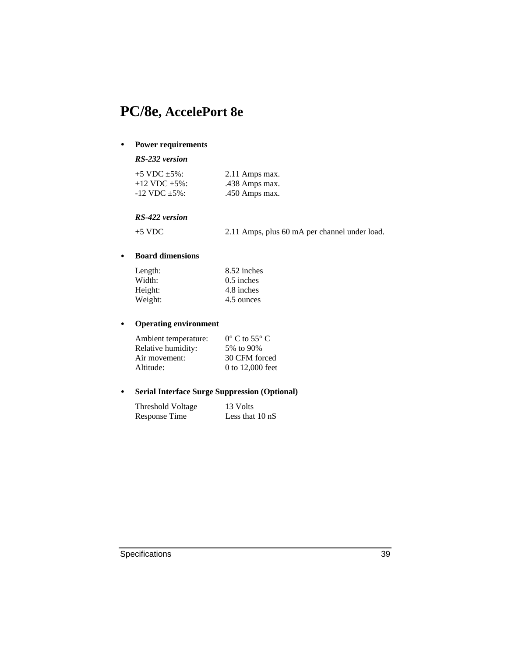## **PC/8e, AccelePort 8e**

#### • **Power requirements**

#### *RS-232 version*

| $+5$ VDC $+5\%$ :     | 2.11 Amps max. |
|-----------------------|----------------|
| $+12$ VDC $+5\%$ :    | .438 Amps max. |
| $-12$ VDC $\pm 5\%$ : | .450 Amps max. |

#### *RS-422 version*

+5 VDC 2.11 Amps, plus 60 mA per channel under load.

#### • **Board dimensions**

| Length: | 8.52 inches  |
|---------|--------------|
| Width:  | $0.5$ inches |
| Height: | 4.8 inches   |
| Weight: | 4.5 ounces   |

#### • **Operating environment**

| Ambient temperature: | $0^{\circ}$ C to 55 $^{\circ}$ C |
|----------------------|----------------------------------|
| Relative humidity:   | 5% to 90%                        |
| Air movement:        | 30 CFM forced                    |
| Altitude:            | 0 to 12,000 feet                 |

#### • **Serial Interface Surge Suppression (Optional)**

| Threshold Voltage | 13 Volts                  |
|-------------------|---------------------------|
| Response Time     | Less that $10 \text{ nS}$ |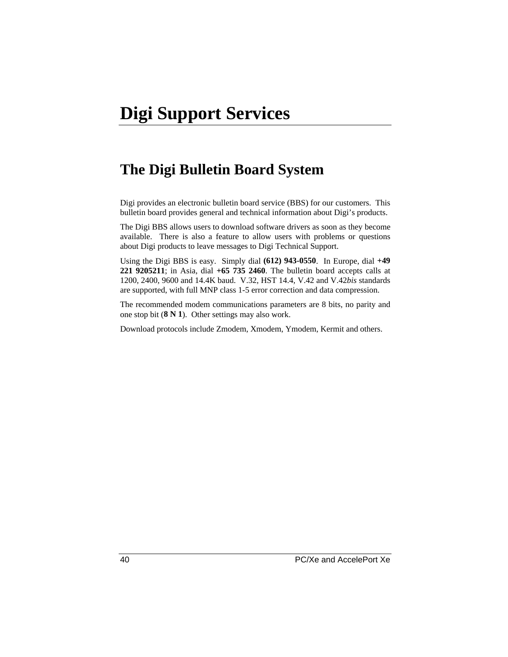## **The Digi Bulletin Board System**

Digi provides an electronic bulletin board service (BBS) for our customers. This bulletin board provides general and technical information about Digi's products.

The Digi BBS allows users to download software drivers as soon as they become available. There is also a feature to allow users with problems or questions about Digi products to leave messages to Digi Technical Support.

Using the Digi BBS is easy. Simply dial **(612) 943-0550**. In Europe, dial **+49 221 9205211**; in Asia, dial **+65 735 2460**. The bulletin board accepts calls at 1200, 2400, 9600 and 14.4K baud. V.32, HST 14.4, V.42 and V.42*bis* standards are supported, with full MNP class 1-5 error correction and data compression.

The recommended modem communications parameters are 8 bits, no parity and one stop bit (**8 N 1**). Other settings may also work.

Download protocols include Zmodem, Xmodem, Ymodem, Kermit and others.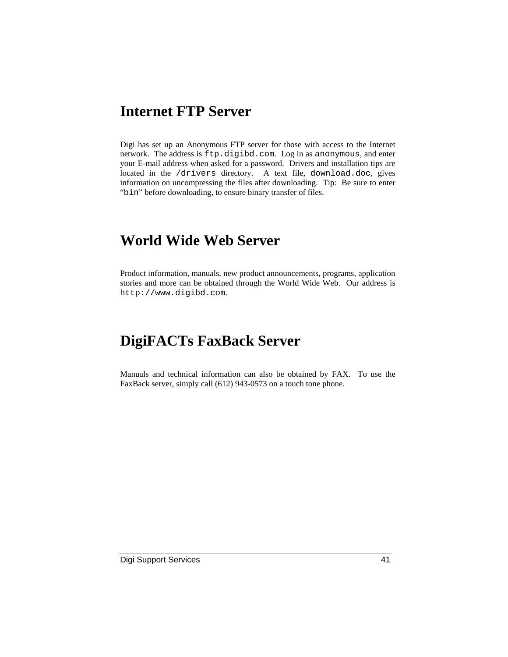## **Internet FTP Server**

Digi has set up an Anonymous FTP server for those with access to the Internet network. The address is ftp.digibd.com. Log in as anonymous, and enter your E-mail address when asked for a password. Drivers and installation tips are located in the /drivers directory. A text file, download.doc, gives information on uncompressing the files after downloading. Tip: Be sure to enter "bin" before downloading, to ensure binary transfer of files.

## **World Wide Web Server**

Product information, manuals, new product announcements, programs, application stories and more can be obtained through the World Wide Web. Our address is http://www.digibd.com.

## **DigiFACTs FaxBack Server**

Manuals and technical information can also be obtained by FAX. To use the FaxBack server, simply call (612) 943-0573 on a touch tone phone.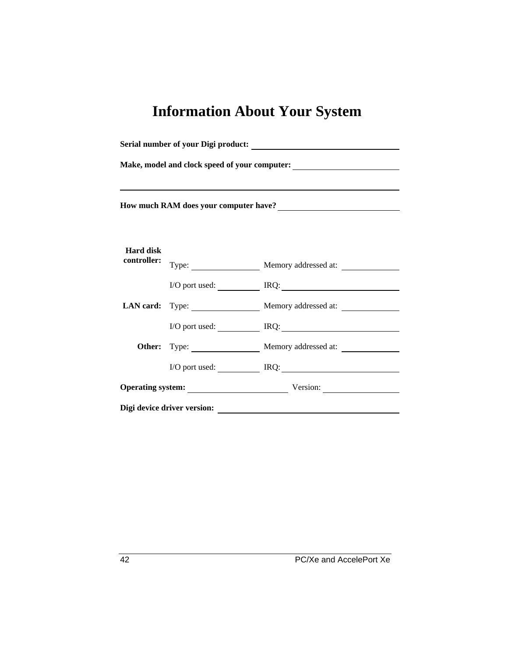## **Information About Your System**

| Make, model and clock speed of your computer:<br><u>Letting and the speed of your computer:</u> |  |                                      |  |  |
|-------------------------------------------------------------------------------------------------|--|--------------------------------------|--|--|
| How much RAM does your computer have?<br><u> </u>                                               |  |                                      |  |  |
| <b>Hard disk</b><br>controller:                                                                 |  | Type: Memory addressed at:           |  |  |
|                                                                                                 |  | $I/O$ port used: $IRQ$ :             |  |  |
|                                                                                                 |  | LAN card: Type: Memory addressed at: |  |  |
|                                                                                                 |  | I/O port used: IRQ: IRQ:             |  |  |
|                                                                                                 |  | Other: Type: Memory addressed at:    |  |  |
|                                                                                                 |  | I/O port used: IRQ: IRQ:             |  |  |
|                                                                                                 |  | Operating system: Version: Version:  |  |  |
| Digi device driver version:                                                                     |  |                                      |  |  |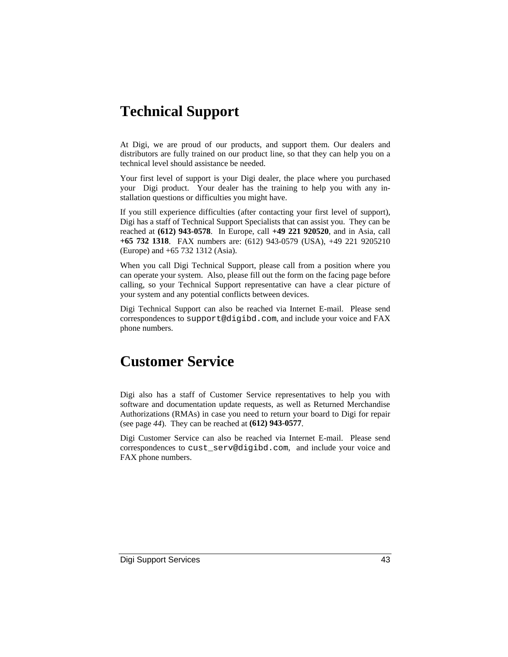## **Technical Support**

At Digi, we are proud of our products, and support them. Our dealers and distributors are fully trained on our product line, so that they can help you on a technical level should assistance be needed.

Your first level of support is your Digi dealer, the place where you purchased your Digi product. Your dealer has the training to help you with any installation questions or difficulties you might have.

If you still experience difficulties (after contacting your first level of support), Digi has a staff of Technical Support Specialists that can assist you. They can be reached at **(612) 943-0578**. In Europe, call **+49 221 920520**, and in Asia, call **+65 732 1318**. FAX numbers are: (612) 943-0579 (USA), +49 221 9205210 (Europe) and +65 732 1312 (Asia).

When you call Digi Technical Support, please call from a position where you can operate your system. Also, please fill out the form on the facing page before calling, so your Technical Support representative can have a clear picture of your system and any potential conflicts between devices.

Digi Technical Support can also be reached via Internet E-mail. Please send correspondences to support@digibd.com, and include your voice and FAX phone numbers.

## **Customer Service**

Digi also has a staff of Customer Service representatives to help you with software and documentation update requests, as well as Returned Merchandise Authorizations (RMAs) in case you need to return your board to Digi for repair (see page *44*). They can be reached at **(612) 943-0577**.

Digi Customer Service can also be reached via Internet E-mail. Please send correspondences to cust\_serv@digibd.com, and include your voice and FAX phone numbers.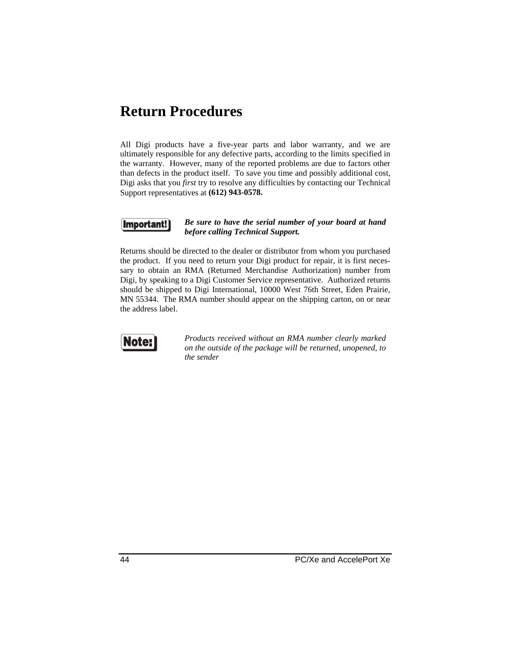## **Return Procedures**

All Digi products have a five-year parts and labor warranty, and we are ultimately responsible for any defective parts, according to the limits specified in the warranty. However, many of the reported problems are due to factors other than defects in the product itself. To save you time and possibly additional cost, Digi asks that you *first* try to resolve any difficulties by contacting our Technical Support representatives at **(612) 943-0578.**



#### *Be sure to have the serial number of your board at hand before calling Technical Support.*

Returns should be directed to the dealer or distributor from whom you purchased the product. If you need to return your Digi product for repair, it is first necessary to obtain an RMA (Returned Merchandise Authorization) number from Digi, by speaking to a Digi Customer Service representative. Authorized returns should be shipped to Digi International, 10000 West 76th Street, Eden Prairie, MN 55344. The RMA number should appear on the shipping carton, on or near the address label.



*Products received without an RMA number clearly marked on the outside of the package will be returned, unopened, to the sender*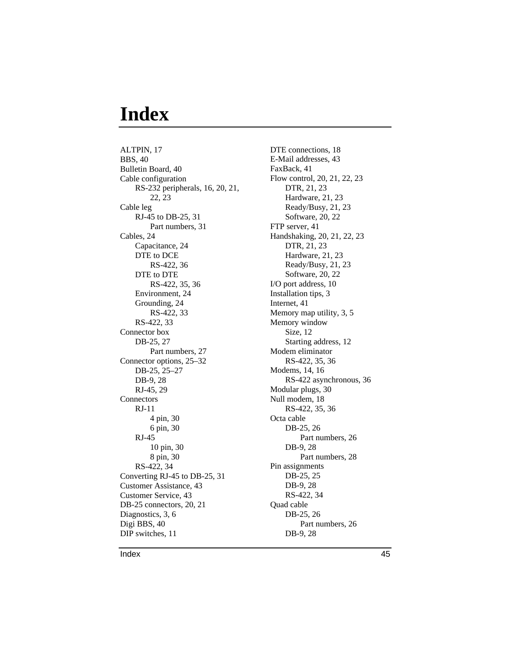## **Index**

ALTPIN, 17 BBS, 40 Bulletin Board, 40 Cable configuration RS-232 peripherals, 16, 20, 21, 22, 23 Cable leg RJ-45 to DB-25, 31 Part numbers, 31 Cables, 24 Capacitance, 24 DTE to DCE RS-422, 36 DTE to DTE RS-422, 35, 36 Environment, 24 Grounding, 24 RS-422, 33 RS-422, 33 Connector box DB-25, 27 Part numbers, 27 Connector options, 25–32 DB-25, 25–27 DB-9, 28 RJ-45, 29 **Connectors** RJ-11 4 pin, 30 6 pin, 30 RJ-45 10 pin, 30 8 pin, 30 RS-422, 34 Converting RJ-45 to DB-25, 31 Customer Assistance, 43 Customer Service, 43 DB-25 connectors, 20, 21 Diagnostics, 3, 6 Digi BBS, 40 DIP switches, 11

DTE connections, 18 E-Mail addresses, 43 FaxBack, 41 Flow control, 20, 21, 22, 23 DTR, 21, 23 Hardware, 21, 23 Ready/Busy, 21, 23 Software, 20, 22 FTP server, 41 Handshaking, 20, 21, 22, 23 DTR, 21, 23 Hardware, 21, 23 Ready/Busy, 21, 23 Software, 20, 22 I/O port address, 10 Installation tips, 3 Internet, 41 Memory map utility, 3, 5 Memory window Size, 12 Starting address, 12 Modem eliminator RS-422, 35, 36 Modems, 14, 16 RS-422 asynchronous, 36 Modular plugs, 30 Null modem, 18 RS-422, 35, 36 Octa cable DB-25, 26 Part numbers, 26 DB-9, 28 Part numbers, 28 Pin assignments DB-25, 25 DB-9, 28 RS-422, 34 Quad cable DB-25, 26 Part numbers, 26 DB-9, 28